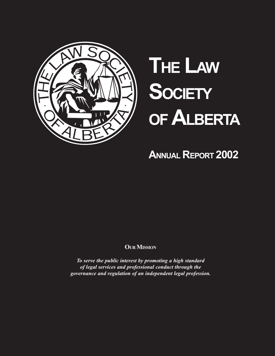

# **THE LAW SOCIETY OF ALBERTA**

**ANNUAL REPORT 2002**

**OUR MISSION**

*To serve the public interest by promoting a high standard of legal services and professional conduct through the governance and regulation of an independent legal profession.*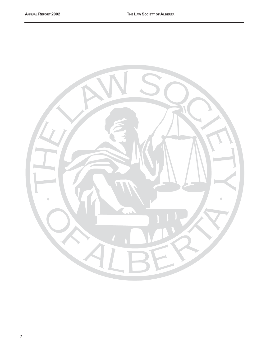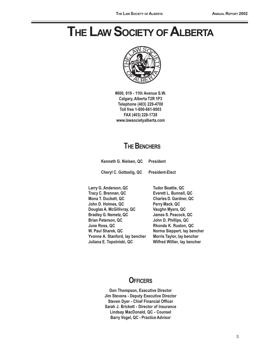### **THE LAW SOCIETY OF ALBERTA**



**#600, 919 - 11th Avenue S.W. Calgary, Alberta T2R 1P3 Telephone (403) 229-4700 Toll free 1-800-661-9003 FAX (403) 228-1728 www.lawsocietyalberta.com**

### **THE BENCHERS**

**Kenneth G. Nielsen, QC President**

**Cheryl C. Gottselig, QC President-Elect**

Larry G. Anderson, QC Tudor Beattie, QC **Tracy C. Brennan, QC Everett L. Bunnell, QC Mona T. Duckett, QC Charles D. Gardner, QC John D. Holmes, QC Perry Mack, QC Douglas A. McGillivray, QC Vaughn Myers, QC Bradley G. Nemetz, QC James S. Peacock, QC Brian Peterson, QC John D. Phillips, QC June Ross, QC Rhonda K. Ruston, QC** W. Paul Sharek, QC Norma Sieppert, lay bencher **Yvonne A. Stanford, lay bencher Morris Taylor, lay bencher Juliana E. Topolniski, QC Wilfred Willier, lay bencher**

### **OFFICERS**

**Don Thompson, Executive Director Jim Stevens - Deputy Executive Director Steven Dyer - Chief Financial Officer Sarah J. Brickett - Director of Insurance Lindsay MacDonald, QC - Counsel Barry Vogel, QC - Practice Advisor**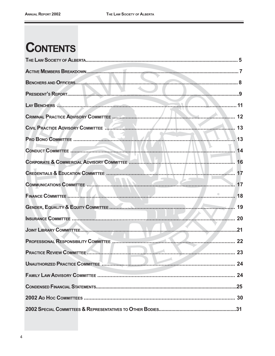# **CONTENTS**

| LAY BENCHERS AND ANNOUNCEMENT CONTINUES AND THE RESIDENCE OF THE RESIDENCE OF THE RESIDENCE OF THE RESIDENCE O |    |
|----------------------------------------------------------------------------------------------------------------|----|
| 12                                                                                                             |    |
| CIVIL PRACTICE ADVISORY COMMITTEE                                                                              | 13 |
|                                                                                                                | 13 |
| CONDUCT COMMITTEE                                                                                              |    |
| CORPORATE & COMMERCIAL ADVISORY COMMITTEE                                                                      | 16 |
| . 17                                                                                                           |    |
|                                                                                                                |    |
|                                                                                                                |    |
|                                                                                                                | 19 |
|                                                                                                                | 20 |
| 21                                                                                                             |    |
|                                                                                                                |    |
|                                                                                                                | 23 |
|                                                                                                                |    |
|                                                                                                                |    |
|                                                                                                                |    |
|                                                                                                                |    |
|                                                                                                                |    |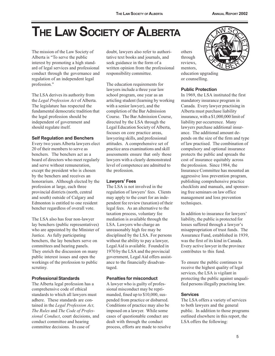### **THE LAW SOCIETY OF ALBERTA**

The mission of the Law Society of Alberta is "To serve the public interest by promoting a high standard of legal services and professional conduct through the governance and regulation of an independent legal profession."

The LSA derives its authority from the *Legal Profession Act* of Alberta. The legislature has respected the fundamental democratic tradition that the legal profession should be independent of government and should regulate itself.

### **Self Regulation and Benchers**

Every two years Alberta lawyers elect 20 of their members to serve as benchers. The benchers act as a board of directors who meet regularly and serve without remuneration, except the president who is chosen by the benchers and receives an honorarium. Although elected by the profession at large, each three provincial districts (north, central and south) outside of Calgary and Edmonton is entitled to one resident bencher regardless of overall vote.

The LSA also has four non-lawyer lay benchers (public representatives) who are appointed by the Minister of Justice. As fully participating benchers, the lay benchers serve on committees and hearing panels. They enrich the discussion on many public interest issues and open the workings of the profession to public scrutiny.

### **Professional Standards**

The Alberta legal profession has a comprehensive code of ethical standards to which all lawyers must adhere. These standards are contained in the *Legal Profession Act, The Rules* and *The Code of Professional Conduct*, court decisions, and conduct committee and hearing committee decisions. In case of

doubt, lawyers also refer to authoritative text books and journals, and seek guidance in the form of a written opinion from the professional responsibility committee.

The education requirements for lawyers include a three year law school program, one year as an articling student (learning by working with a senior lawyer), and the completion of the Bar Admission Course. The Bar Admission Course, directed by the LSA through the Legal Education Society of Alberta, focuses on core practice areas, lawyering skills, and professional attitudes. A comprehensive set of practice area examinations and skill assessments ensure that only those lawyers with a clearly demonstrated level of competence are admitted to the profession.

#### **Lawyers' Fees**

The LSA is not involved in the regulation of lawyers' fees. Clients may apply to the court for an independent fee review (taxation) of their legal fees. As an alternative to the taxation process, voluntary fee mediation is available through the LSA. Lawyers who charge an unreasonably high fee may be disciplined by the LSA. For persons without the ability to pay a lawyer, Legal Aid is available. Founded in 1970 by the LSA and the provincial government, Legal Aid offers assistance to the financially disadvantaged.

### **Penalties for misconduct**

A lawyer who is guilty of professional misconduct may be reprimanded, fined up to \$10,000, suspended from practice or disbarred. Conditions of practice may also be imposed on a lawyer. While some cases of questionable conduct are dealt with through the conduct process, efforts are made to resolve

others through reviews, mentors,



education upgrading or counselling.

#### **Public Protection**

In 1969, the LSA instituted the first mandatory insurance program in Canada. Every lawyer practising in Alberta must purchase liability insurance, with a \$1,000,000 limit of liability per occurrence. Many lawyers purchase additional insurance. The additional amount depends on the size of the firm and type of law practised. The combination of compulsory and optional insurance protects the public and spreads the cost of insurance equitably across the profession. Since 1984, the Insurance Committee has mounted an aggressive loss prevention program, publishing comprehensive practice checklists and manuals, and sponsoring free seminars on law office management and loss prevention techniques.

In addition to insurance for lawyers' liability, the public is protected for losses suffered through a lawyer's misappropriation of trust funds. The Assurance Fund, established in 1939, was the first of its kind in Canada. Every active lawyer in the province contributes to this fund.

To ensure the public continues to receive the highest quality of legal services, the LSA is vigilant in protecting the public against unqualified persons illegally practising law.

### **Services**

The LSA offers a variety of services to both lawyers and the general public. In addition to those programs outlined elsewhere in this report, the LSA offers the following: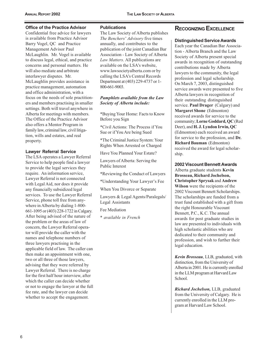### **Office of the Practice Advisor**

Confidential free advice for lawyers is available from Practice Advisor Barry Vogel, QC and Practice Management Advisor Paul McLaughlin. Mr. Vogel is available to discuss legal, ethical, and practice concerns and personal matters. He will also mediate and arbitrate interlawyer disputes. Mr. McLaughlin provides assistance in practice management, automation and office administration, with a focus on the needs of sole practitioners and members practising in smaller settings. Both will travel anywhere in Alberta for meetings with members. The Office of the Practice Advisor also offers a Mentor Program in family law, criminal law, civil litigation, wills and estates, and real property.

### **Lawyer Referral Service**

The LSA operates a Lawyer Referral Service to help people find a lawyer to provide the legal services they require. An information service, Lawyer Referral is not connected with Legal Aid, nor does it provide any financially subsidized legal services. To use the Lawyer Referral Service, phone toll free from anywhere in Alberta by dialing 1-800- 661-1095 or (403) 228-1722 in Calgary. After being advised of the nature of the problem or the areas of law of concern, the Lawyer Referral operator will provide the caller with the names and telephone numbers of three lawyers practising in the applicable field of law. The caller can then make an appointment with one, two or all three of those lawyers, advising that they were referred by Lawyer Referral. There is no charge for the first half hour interview, after which the caller can decide whether or not to engage the lawyer at the full fee rate, and the lawyer can decide whether to accept the engagement.

### **Publications**

The Law Society of Alberta publishes *The Benchers' Advisory* five times annually, and contributes to the publication of the joint Canadian Bar Association *-* Law Society of Alberta *Law Matters*. All publications are available on the LSA's website, www.lawsocietyalberta.com or by calling the LSA's Central Records Department at (403) 229-4737 or 1- 800-661-9003.

### *Pamphlets available from the Law Society of Alberta include:*

\*Buying Your Home: Facts to Know Before you Sign

\*Civil Actions: The Process if You Sue or if You Are being Sued

\*The Criminal Justice System: Your Rights When Arrested or Charged

Have You Planned Your Estate?

Lawyers of Alberta: Serving the Public Interest

\*Reviewing the Conduct of Lawyers

\*Understanding Your Lawyer's Fee

When You Divorce or Separate

Lawyers & Legal Agents/Paralegals/ Legal Assistants

Fee Mediation

*\* available in French*

### **RECOGNIZING EXCELLENCE**

### **Distinguished Service Awards**

Each year the Canadian Bar Association - Alberta Branch and the Law Society of Alberta present special awards in recognition of outstanding contributions made by Alberta lawyers to the community, the legal profession and legal scholarship. On March 7, 2003, distinguished service awards were presented to five Alberta lawyers in recognition of their outstanding distinguished service. **Paul Drager** (Calgary) and **Margaret Shone** (Edmonton) received awards for service to the community;**Lorne Goddard, QC** (Red Deer), and **H. J. Lyndon Irwin, QC** (Edmonton) each received an award for service to the profession, and **Dr. Richard Bauman** (Edmonton) received the award for legal scholarship.

**2002 Viscount Bennett Awards** Alberta graduate students **Kevin Brosseau, Richard Jochelson, Christopher Sprysak** and **Andrew Wilson** were the recipients of the 2002 Viscount Bennett Scholarships. The scholarships are funded from a trust fund established with a gift from the right Honourable Viscount Bennett, P.C., K.C. The annual awards for post graduate studies in law are presented to individuals with high scholastic abilities who are dedicated to their community and profession, and wish to further their legal education.

*Kevin Brosseau*, LLB, graduated, with distinction, from the University of Alberta in 2001. He is currently enrolled in the LLM program at Harvard Law School.

*Richard Jochelson,* LLB, graduated from the University of Calgary. He is currently enrolled in the LLM program at Harvard Law School.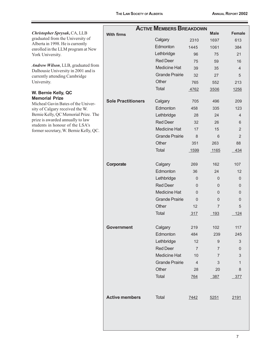|                                                                           |                           | <b>ACTIVE MEMBERS BREAKDOWN</b> |                |                  |                |
|---------------------------------------------------------------------------|---------------------------|---------------------------------|----------------|------------------|----------------|
| Christopher Sprysak, CA, LLB                                              | <b>With firms</b>         |                                 |                | <b>Male</b>      | <b>Female</b>  |
| graduated from the University of                                          |                           | Calgary                         | 2310           | 1697             | 613            |
| Alberta in 1998. He is currently<br>enrolled in the LLM program at New    |                           | Edmonton                        | 1445           | 1061             | 384            |
| York University.                                                          |                           | Lethbridge                      | 96             | 75               | 21             |
|                                                                           |                           | <b>Red Deer</b>                 | 75             | 59               | 16             |
| Andrew Wilson, LLB, graduated from<br>Dalhousie University in 2001 and is |                           | <b>Medicine Hat</b>             | 39             | 35               | $\overline{4}$ |
| currently attending Cambridge                                             |                           | <b>Grande Prairie</b>           | 32             | 27               | 5              |
| University.                                                               |                           | Other                           | 765            | 552              | 213            |
|                                                                           |                           | Total                           | 4762           | 3506             | 1256           |
| W. Bernie Kelly, QC<br><b>Memorial Prize</b>                              |                           |                                 |                |                  |                |
| Micheal Gavin Bates of the Univer-                                        | <b>Sole Practitioners</b> | Calgary                         | 705            | 496              | 209            |
| sity of Calgary received the W.                                           |                           | Edmonton                        | 458            | 335              | 123            |
| Bernie Kelly, QC Memorial Prize. The                                      |                           | Lethbridge                      | 28             | 24               | $\overline{4}$ |
| prize is awarded annually to law<br>students in honour of the LSA's       |                           | <b>Red Deer</b>                 | 32             | 26               | 6              |
| former secretary, W. Bernie Kelly, QC.                                    |                           | <b>Medicine Hat</b>             | 17             | 15               | $\overline{2}$ |
|                                                                           |                           | <b>Grande Prairie</b>           | 8              | 6                | $\overline{2}$ |
|                                                                           |                           | Other                           | 351            | 263              | 88             |
|                                                                           |                           | Total                           | 1599           | 1165             | 434            |
|                                                                           |                           |                                 |                |                  |                |
|                                                                           | Corporate                 | Calgary                         | 269            | 162              | 107            |
|                                                                           |                           | Edmonton                        | 36             | 24               | 12             |
|                                                                           |                           | Lethbridge                      | $\overline{0}$ | $\Omega$         | 0              |
|                                                                           |                           | <b>Red Deer</b>                 | 0              | $\mathbf{0}$     | $\pmb{0}$      |
|                                                                           |                           | <b>Medicine Hat</b>             | 0              | $\mathbf{0}$     | $\mathbf{0}$   |
|                                                                           |                           | <b>Grande Prairie</b>           | $\overline{0}$ | $\Omega$         | $\mathbf{0}$   |
|                                                                           |                           | Other                           | 12             | $\overline{7}$   | 5              |
|                                                                           |                           | Total                           | 317            | 193              | 124            |
|                                                                           |                           |                                 |                |                  |                |
|                                                                           | <b>Government</b>         | Calgary                         | 219            | 102              | 117            |
|                                                                           |                           | Edmonton                        | 484            | 239              | 245            |
|                                                                           |                           | Lethbridge                      | 12             | $\boldsymbol{9}$ | $\sqrt{3}$     |
|                                                                           |                           | <b>Red Deer</b>                 | $\overline{7}$ | $\overline{7}$   | $\mathbf 0$    |
|                                                                           |                           | Medicine Hat                    | 10             | $\overline{7}$   | 3              |
|                                                                           |                           | <b>Grande Prairie</b>           | $\overline{4}$ | 3                | 1              |
|                                                                           |                           | Other                           | 28             | 20               | 8              |
|                                                                           |                           | Total                           | 764            | 387              | 377            |
|                                                                           |                           |                                 |                |                  |                |
|                                                                           |                           |                                 |                |                  |                |
|                                                                           | <b>Active members</b>     | Total                           | 7442           | 5251             | 2191           |
|                                                                           |                           |                                 |                |                  |                |
|                                                                           |                           |                                 |                |                  |                |
|                                                                           |                           |                                 |                |                  |                |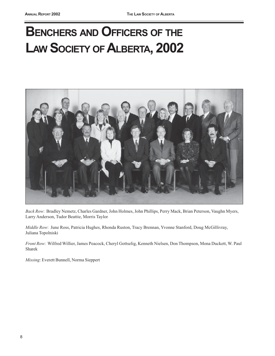# **BENCHERS AND OFFICERS OF THE LAW SOCIETY OF ALBERTA, 2002**



*Back Row*: Bradley Nemetz, Charles Gardner, John Holmes, John Phillips, Perry Mack, Brian Peterson, Vaughn Myers, Larry Anderson, Tudor Beattie, Morris Taylor

*Middle Row*: June Ross, Patricia Hughes, Rhonda Ruston, Tracy Brennan, Yvonne Stanford, Doug McGillivray, Juliana Topolniski

*Front Row*: Wilfred Willier, James Peacock, Cheryl Gottselig, Kenneth Nielsen, Don Thompson, Mona Duckett, W. Paul Sharek

*Missing*: Everett Bunnell, Norma Sieppert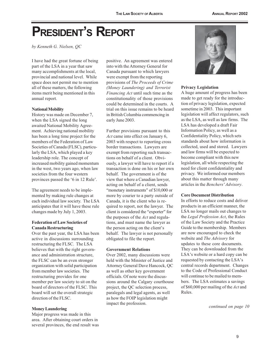### **PRESIDENT'S REPORT**

*by Kenneth G. Nielsen, QC*

I have had the great fortune of being part of the LSA in a year that saw many accomplishments at the local, provincial and national level. While space does not permit me to mention all of these matters, the following items merit being mentioned in this annual report.

#### **National Mobility**

History was made on December 7, when the LSA signed the long awaited National Mobility Agreement. Achieving national mobility has been a long time project for the members of the Federation of Law Societies of Canada (FLSC), particularly the LSA, which played a key leadership role. The concept of increased mobility gained momentum in the west, two years ago, when law societies from the four western provinces passed the '6 in 12 Rule'.

The agreement needs to be implemented by making rule changes at each individual law society. The LSA anticipates that it will have these rule changes made by July 1, 2003.

### **Federation of Law Societies of Canada Restructuring**

Over the past year, the LSA has been active in discussions surrounding restructuring the FLSC. The LSA believes that with the right governance and administration structure, the FLSC can be an even stronger organization with solid participation from member law societies. The restructuring provides for one member per law society to sit on the board of directors of the FLSC. This board will set the overall strategic direction of the FLSC.

#### **Money Laundering**

Major progress was made in this area. After obtaining court orders in several provinces, the end result was positive. An agreement was entered into with the Attorney General for Canada pursuant to which lawyers were exempt from the reporting provisions of *The Proceeds of Crime (Money Laundering) and Terrorist Financing Act* until such time as the constitutionality of those provisions could be determined in the courts. A trial on this issue remains to be heard in British Columbia commencing in early June 2003.

Further provisions pursuant to this *Act* came into effect on January 6, 2003 with respect to reporting cross border transactions. Lawyers are exempt from reporting such transactions on behalf of a client. Obviously, a lawyer will have to report if a transaction is done on his or her own behalf. The government is of the view that where a Canadian lawyer, acting on behalf of a client, sends "monetary instruments" of \$10,000 or more by courier to a party outside of Canada, it is the client who is required to report, not the lawyer. The client is considered the "exporter" for the purposes of the *Act* and regulations, and must name the lawyer as the person acting on the client's behalf. The lawyer is not personally obligated to file the report.

### **Government Relations**

Over 2002, many discussions were held with the Minister of Justice and Attorney General Dave Hancock, QC as well as other key government officials. Of note were the discussions around the Calgary courthouse project, the QC selection process, paralegals and legal agents, as well as how the FOIP legislation might impact the profession.



#### **Privacy Legislation**

A huge amount of progress has been made to get ready for the introduction of privacy legislation, expected sometime in 2003. This important legislation will affect regulators, such as the LSA, as well as law firms. The LSA has developed a draft Fair Information Policy, as well as a Confidentiality Policy, which sets standards about how information is collected, used and stored. Lawyers and law firms will be expected to become compliant with this new legislation, all while respecting the need for client confidentiality and privacy. We informed our members about this matter through many articles in the *Benchers' Advisory*.

#### **Core Document Distribution**

In efforts to reduce costs and deliver products in an efficient manner, the LSA no longer mails out changes to the *Legal Profession Act*, the Rules of the Law Society and the Practice Guide to the membership. Members are now encouraged to check the website and *The Advisory* for updates to these core documents. They can be downloaded from the LSA's website or a hard copy can be requested by contacting the LSA's central records department. Changes to the Code of Professional Conduct will continue to be mailed to members. The LSA estimates a savings of \$60,000 per mailing of the *Act* and Rules.

*continued on page 10*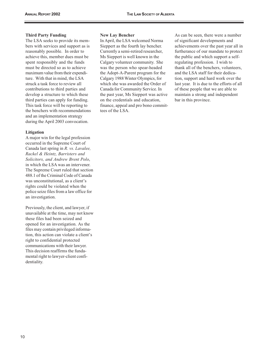### **Third Party Funding**

The LSA seeks to provide its members with services and support as is reasonably possible. In order to achieve this, member dues must be spent responsibly and the funds must be directed so as to achieve maximum value from their expenditure. With that in mind, the LSA struck a task force to review all contributions to third parties and develop a structure to which these third parties can apply for funding. This task force will be reporting to the benchers with recommendations and an implementation strategy during the April 2003 convocation.

### **Litigation**

A major win for the legal profession occurred in the Supreme Court of Canada last spring in *R. vs. Lavalee, Rackel & Heintz, Barristers and Solicitors, and Andrew Brent Polo*, in which the LSA was an intervener. The Supreme Court ruled that section 488.1 of the Criminal Code of Canada was unconstitutional, as a client's rights could be violated when the police seize files from a law office for an investigation.

Previously, the client, and lawyer, if unavailable at the time, may not know these files had been seized and opened for an investigation. As the files may contain privileged information, this action can violate a client's right to confidential protected communications with their lawyer. This decision reaffirms the fundamental right to lawyer-client confidentiality.

#### **New Lay Bencher**

In April, the LSA welcomed Norma Sieppert as the fourth lay bencher. Currently a semi-retired researcher, Ms Sieppert is well known in the Calgary volunteer community. She was the person who spear-headed the Adopt-A-Parent program for the Calgary 1988 Winter Olympics, for which she was awarded the Order of Canada for Community Service. In the past year, Ms Sieppert was active on the credentials and education, finance, appeal and pro bono committees of the LSA.

As can be seen, there were a number of significant developments and achievements over the past year all in furtherance of our mandate to protect the public and which support a selfregulating profession. I wish to thank all of the benchers, volunteers, and the LSA staff for their dedication, support and hard work over the last year. It is due to the efforts of all of these people that we are able to maintain a strong and independent bar in this province.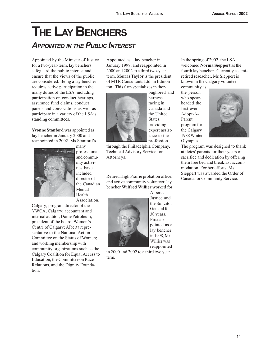### **THE LAY BENCHERS** *APPOINTED IN THE PUBLIC INTEREST*

Appointed by the Minister of Justice for a two-year-term, lay benchers safeguard the public interest and ensure that the views of the public are considered. Being a lay bencher requires active participation in the many duties of the LSA, including participation on conduct hearings, assurance fund claims, conduct panels and convocations as well as participate in a variety of the LSA's standing committees.

**Yvonne Stanford** was appointed as lay bencher in January 2000 and reappointed in 2002. Ms Stanford's



many professional and community activities have included director of the Canadian Mental Health Association,

Calgary; program director of the YWCA, Calgary; accountant and internal auditor, Dome Petroleum; president of the board, Women's Centre of Calgary; Alberta representative to the National Action Committee on the Status of Women; and working membership with community organizations such as the Calgary Coalition for Equal Access to Education, the Committee on Race Relations, and the Dignity Foundation.

Appointed as a lay bencher in January 1998, and reappointed in 2000 and 2002 to a third two-year term, **Morris Taylor** is the president of MTR Consultants Ltd. in Edmonton. This firm specializes in thor-



oughbred and harness racing in Canada and the United States, providing expert assistance to the profession

through the Philadelphia Company, Technical Advisory Service for Attorneys.

Retired High Prairie probation officer and active community volunteer, lay bencher **Wilfred Willier** worked for





Justice and the Solicitor General for 30 years. First appointed as a lay bencher in 1998, Mr. Willier was reappointed

in 2000 and 2002 to a third two year term.

In the spring of 2002, the LSA welcomed **Norma Sieppert** as the fourth lay bencher. Currently a semiretired reseacher, Ms Sieppert is known in the Calgary volunteer community as

the person who spearheaded the first-ever Adopt-A-Parent program for the Calgary 1988 Winter Olympics.



The program was designed to thank athletes' parents for their years of sacrifice and dedication by offering them free bed and breakfast accommodation. For her efforts, Ms Sieppert was awarded the Order of Canada for Community Service.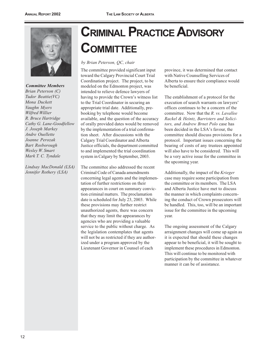

*Committee Members Brian Peterson (C) Tudor Beattie(VC) Mona Duckett Vaughn Myers Wilfred Willier R. Bruce Hartridge Cathy G. Lane-Goodfellow J. Joseph Markey Andre Ouellette Joanne Perozak Bart Rosborough Wesley W. Smart Mark T. C. Tyndale*

*Lindsay MacDonald (LSA) Jennifer Rothery (LSA)*

# **CRIMINAL PRACTICE ADVISORY COMMITTEE**

### *by Brian Peterson, QC, chair*

The committee provided significant input toward the Calgary Provincial Court Trial Coordination project. The project, to be modeled on the Edmonton project, was intended to relieve defence lawyers of having to provide the Crown's witness list to the Trial Coordinator in securing an appropriate trial date. Additionally, prebooking by telephone would become available, and the question of the accuracy of orally provided dates would be removed by the implementation of a trial confirmation sheet. After discussions with the Calgary Trial Coordinator and Alberta Justice officials, the department committed to and implemented the trial coordination system in Calgary by September, 2003.

The committee also addressed the recent Criminal Code of Canada amendments concerning legal agents and the implementation of further restrictions on their appearances in court on summary conviction criminal matters. The proclamation date is scheduled for July 23, 2003. While these provisions may further restrict unauthorized agents, there was concern that they may limit the appearances by agencies who are providing a valuable service to the public without charge. As the legislation contemplates that agents will not be as restricted if they are authorized under a program approved by the Lieutenant Governor in Counsel of each

province, it was determined that contact with Native Counselling Services of Alberta to ensure their compliance would be beneficial.

The establishment of a protocol for the execution of search warrants on lawyers' offices continues to be a concern of the committee. Now that the *R. vs. Lavallee Rackel & Heintz, Barristers and Solicitors, and Andrew Brnet Polo* case has been decided in the LSA's favour, the committee should discuss provisions for a protocol. Important issues concerning the bearing of costs of any trustees appointed will also have to be considered. This will be a very active issue for the committee in the upcoming year.

Additionally, the impact of the *Krieger* case may require some participation from the committee or its members. The LSA and Alberta Justice have met to discuss the manner in which complaints concerning the conduct of Crown prosecutors will be handled. This, too, will be an important issue for the committee in the upcoming year.

The ongoing assessment of the Calgary arraignment changes will come up again as it is expected that should these changes appear to be beneficial, it will be sought to implement these procedures in Edmonton. This will continue to be monitored with participation by the committee in whatever manner it can be of assistance.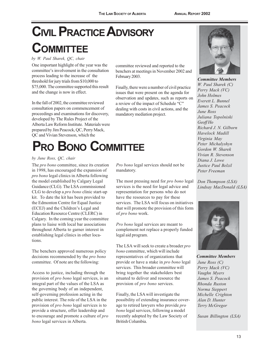February 2003.

mandatory.

# **CIVIL PRACTICE ADVISORY COMMITTEE**

### *by W. Paul Sharek, QC, chair*

One important highlight of the year was the committee's involvement in the consultation process leading to the increase of the threshold for jury trials from \$10,000 to \$75,000. The committee supported this result and the change is now in effect.

In the fall of 2002, the committee reviewed consultation papers on commencement of proceedings and examinations for discovery, developed by The Rules Project of the Alberta Law Reform Institute. Materials were prepared by Jim Peacock, QC, Perry Mack, QC and Vivian Stevenson, which the

# **PRO BONO COMMITTEE**

### *by June Ross, QC, chair*

The *pro bono* committee, since its creation in 1998, has encouraged the expansion of *pro bono* legal clinics in Alberta following the model established by Calgary Legal Guidance (CLG). The LSA commissioned CLG to develop a *pro bono* clinic start-up kit. To date the kit has been provided to the Edmonton Centre for Equal Justice (ECEJ) and the Children's Legal and Education Resource Centre (CLERC) in Calgary. In the coming year the committee plans to liaise with local bar associations throughout Alberta to garner interest in establishing legal clinics in other locations.

The benchers approved numerous policy decisions recommended by the *pro bono* committee. Of note are the following:

Access to justice, including through the provision of *pro bono* legal services, is an integral part of the values of the LSA as the governing body of an independent, self-governing profession acting in the public interest. The role of the LSA in the provision of *pro bono* legal services is to provide a structure, offer leadership and to encourage and promote a culture of *pro bono* legal services in Alberta.

*Pro bono* legal services should not be

committee reviewed and reported to the benchers at meetings in November 2002 and

Finally, there were a number of civil practice issues that were present on the agenda for observation and updates, such as reports on a review of the impact of Schedule "C" dealing with costs in civil actions, and the

mandatory mediation project.

The most pressing need for *pro bono* legal services is the need for legal advice and representation for persons who do not have the resources to pay for these services. The LSA will focus on initiatives that will promote the provision of this form of *pro bono* work.

*Pro bono* legal services are meant to complement not replace a properly funded legal aid program.

The LSA will seek to create a broader *pro bono* committee, which will include representatives of organizations that provide or have a stake in *pro bono* legal services. This broader committee will bring together the stakeholders best situated to deliver and resource the provision of *pro bono* services.

Finally, the LSA will investigate the possibility of extending insurance coverage to retired lawyers who provide *pro bono* legal services, following a model recently adopted by the Law Society of British Columbia.



*Committee Members W. Paul Sharek (C) Perry Mack (VC) John Holmes Everett L. Bunnel James S. Peacock June Ross Juliana Topolniski Geoff Ho Richard J. N. Gilborn Havelock Madill Virginia May Peter Michalyshyn Gordon W. Sharek Vivian R. Stevenson Diana J. Lowe Justice Paul Belzil Peter Freeman*

*Don Thompson (LSA) Lindsay MacDonald (LSA)*



*Committee Members June Ross (C) Perry Mack (VC) Vaughn Myers James S. Peacock Rhonda Ruston Norma Sieppert Michelle Crighton Alan D. Hunter Terry McGregor*

*Susan Billington (LSA)*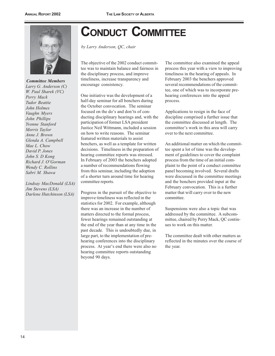

*Committee Members Larry G. Anderson (C) W. Paul Sharek (VC) Perry Mack Tudor Beattie John Holmes Vaughn Myers John Phillips Yvonne Stanford Morris Taylor Anne J. Brown Glenda A. Campbell Mae L. Chow David P. Jones John S. D Kong Richard J. O'Gorman Wendy C. Rollins Sabri M. Shawa*

*Lindsay MacDonald (LSA) Jim Stevens (LSA) Darlene Hutchinson (LSA)*

### **CONDUCT COMMITTEE**

*by Larry Anderson, QC, chair*

The objective of the 2002 conduct committee was to maintain balance and fairness in the disciplinary process, and improve timeliness, increase transparency and encourage consistency.

One initiative was the development of a half-day seminar for all benchers during the October convocation. The seminar focused on the do's and don'ts of conducting disciplinary hearings and, with the participation of former LSA president Justice Neil Wittmann, included a session on how to write reasons. The seminar featured written materials to assist benchers, as well as a template for written decisions. Timeliness in the preparation of hearing committee reports was stressed. In February of 2003 the benchers adopted a number of recommendations flowing from this seminar, including the adoption of a shorter turn around time for hearing committee reports.

Progress in the pursuit of the objective to improve timeliness was reflected in the statistics for 2002. For example, although there was an increase in the number of matters directed to the formal process, fewer hearings remained outstanding at the end of the year than at any time in the past decade. This is undoubtedly due, in large part, to the implementation of prehearing conferences into the disciplinary process. At year's end there were also no hearing committee reports outstanding beyond 90 days.

The committee also examined the appeal process this year with a view to improving timeliness in the hearing of appeals. In February 2003 the benchers approved several recommendations of the committee, one of which was to incorporate prehearing conferences into the appeal process.

Applications to resign in the face of discipline comprised a further issue that the committee discussed at length. The committee's work in this area will carry over to the next committee.

An additional matter on which the committee spent a lot of time was the development of guidelines to cover the complaint process from the time of an initial complaint to the point of a conduct committee panel becoming involved. Several drafts were discussed in the committee meetings and the benchers provided input at the February convocation. This is a further matter that will carry over to the new committee.

Suspensions were also a topic that was addressed by the committee. A subcommittee, chaired by Perry Mack, QC continues to work on this matter.

The committee dealt with other matters as reflected in the minutes over the course of the year.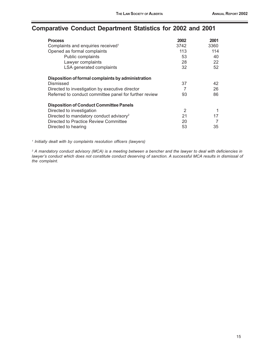### **Comparative Conduct Department Statistics for 2002 and 2001**

| <b>Process</b>                                         | 2002 | 2001 |
|--------------------------------------------------------|------|------|
| Complaints and enquiries received <sup>1</sup>         | 3742 | 3360 |
| Opened as formal complaints                            | 113  | 114  |
| Public complaints                                      | 53   | 40   |
| Lawyer complaints                                      | 28   | 22   |
| LSA generated complaints                               | 32   | 52   |
| Disposition of formal complaints by administration     |      |      |
| Dismissed                                              | 37   | 42   |
| Directed to investigation by executive director        | 7    | 26   |
| Referred to conduct committee panel for further review | 93   | 86   |
| <b>Disposition of Conduct Committee Panels</b>         |      |      |
| Directed to investigation                              | 2    | 1    |
| Directed to mandatory conduct advisory <sup>2</sup>    | 21   | 17   |
| Directed to Practice Review Committee                  | 20   | 7    |
| Directed to hearing                                    | 53   | 35   |

*<sup>1</sup> Initially dealt with by complaints resolution officers (lawyers)*

*<sup>2</sup> A mandatory conduct advisory (MCA) is a meeting between a bencher and the lawyer to deal with deficiencies in lawyer's conduct which does not constitute conduct deserving of sanction. A successful MCA results in dismissal of the complaint.*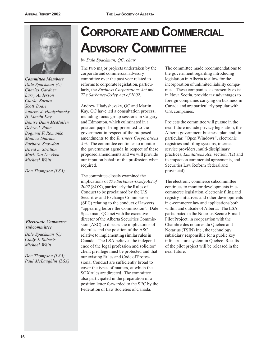

*Committee Members Dale Spackman (C) Charles Gardner Larry Anderson Clarke Barnes Scott Bodie Andrew J. Hladyshevsky H. Martin Kay Denise Dunn McMullen Debra J. Poon Bogumil F. Romanko Monica Sharma Barbara Snowdon David J. Stratton Mark Van De Veen Michael Whitt*

*Don Thompson (LSA)*

### *Electronic Commerce subcommittee*

*Dale Spackman (C) Cindy J. Roberts Michael Whitt*

*Don Thompson (LSA) Paul McLaughlin (LSA)*

# **CORPORATE AND COMMERCIAL ADVISORY COMMITTEE**

*by Dale Spackman, QC, chair*

The two major projects undertaken by the corporate and commercial advisory committee over the past year related to reforms to corporate legislation, particularly, the *Business Corporations Act* and *The Sarbanes-Oxley Act of 2002*.

Andrew Hladyshevsky, QC and Martin Kay, QC have led a consultation process, including focus group sessions in Calgary and Edmonton, which culminated in a position paper being presented to the government in respect of the proposed amendments to the *Business Corporations Act*. The committee continues to monitor the government agenda in respect of these proposed amendments and we will provide our input on behalf of the profession when required.

The committee closely examined the implications of *The Sarbanes-Oxely Act of 2002* (SOX), particularly the Rules of Conduct to be proclaimed by the U.S. Securities and Exchange Commission (SEC) relating to the conduct of lawyers "appearing before the Commission". Dale Spackman, QC met with the executive director of the Alberta Securities Commission (ASC) to discuss the implications of the rules and the position of the ASC relative to implementing similar rules in Canada. The LSA believes the independence of the legal profession and solicitor/ client privilege must be protected and that our existing Rules and Code of Professional Conduct are sufficiently broad to cover the types of matters, at which the SOX rules are directed. The committee also participated in the preparation of a position letter forwarded to the SEC by the Federation of Law Societies of Canada.

The committee made recommendations to the government regarding introducing legislation in Alberta to allow for the incorporation of unlimited liability companies. These companies, as presently exist in Nova Scotia, provide tax advantages to foreign companies carrying on business in Canada and are particularly popular with U.S. companies.

Projects the committee will pursue in the near future include privacy legislation, the Alberta government business plan and, in particular, "Open Windows", electronic registries and filing systems, internet service providers, multi-disciplinary practices, *Limitations Act*, section 7(2) and its impact on commercial agreements, and Securities Law Reform (federal and provincial).

The electronic commerce subcommittee continues to monitor developments in ecommerce legislation, electronic filing and registry initiatives and other developments in e-commerce law and applications both within and outside of Alberta. The LSA participated in the Notarius Secure E-mail Pilot Project, in cooperation with the Chambre des notaires du Quebec and Notarius (TSIN) Inc., the technology subsidiary responsible for a public key infrastructure system in Quebec. Results of the pilot project will be released in the near future.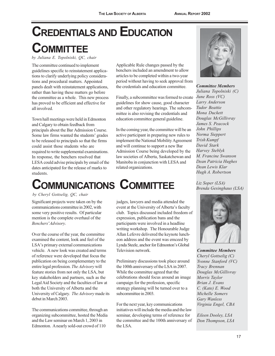# **CREDENTIALS AND EDUCATION COMMITTEE**

*by Juliana E. Topolniski, QC, chair*

The committee continued to implement guidelines specific to reinstatement applications to clarify underlying policy considerations and procedural matters. Appointed panels dealt with reinstatement applications, rather than having these matters go before the committee as a whole. This new process has proved to be efficient and effective for all involved.

Town hall meetings were held in Edmonton and Calgary to obtain feedback from principals about the Bar Admission Course. Some law firms wanted the students' grades to be released to principals so that the firms could assist those students who are required to write supplemental examinations. In response, the benchers resolved that LESA could advise principals by email of the dates anticipated for the release of marks to students.

Applicable Rule changes passed by the benchers included an amendment to allow articles to be completed within a two-year period without having to seek approval from the credentials and education committee.

Finally, a subcommittee was formed to create guidelines for show cause, good character and other regulatory hearings. The subcommittee is also revising the credentials and education committee general guideline.

In the coming year, the committee will be an active participant in preparing new rules to implement the National Mobility Agreement and will continue to support a new Bar Admission Course being developed by the law societies of Alberta, Saskatchewan and Manitoba in conjunction with LESA and related organizations.

### **COMMUNICATIONS COMMITTEE**

*by Cheryl Gottselig, QC, chair*

Significant projects were taken on by the communications committee in 2002, with some very positive results. Of particular mention is the complete overhaul of the *Benchers' Advisory*.

Over the course of the year, the committee examined the content, look and feel of the LSA's primary external communications vehicle. A new look was created and terms of reference were developed that focus the publication on being complementary to the entire legal profession. *The Advisory* will feature stories from not only the LSA, but key stakeholders and partners, such as the Legal Aid Society and the faculties of law at both the University of Alberta and the University of Calgary. *The Advisory* made its debut in March 2003.

The communications committee, through an organizing subcommittee, hosted the Media and the Law seminar on March 1, 2003 in Edmonton. A nearly sold-out crowd of 110

judges, lawyers and media attended the event at the University of Alberta's faculty club. Topics discussed included freedom of expression, publication bans and the participants were involved in a headline writing workshop. The Honourable Judge Allan Lefevre delivered the keynote luncheon address and the event was emceed by Lynda Steele, anchor for Edmonton's Global Television network.

Preliminary discussions took place around the 100th anniversary of the LSA in 2007. While the committee agreed that the celebrations should focus around an image campaign for the profession, specific strategy planning will be turned over to a subcommittee in 2003.

For the next year, key communications initiatives will include the media and the law seminar, developing terms of reference for the committee and the 100th anniversary of the LSA.



*Committee Members Juliana Topolniski (C) June Ross (VC) Larry Anderson Tudor Beattie Mona Duckett Douglas McGillivray James S. Peacock John Phillips Norma Sieppert Trish Kumpf David Stark Harvey Steblyk M. Francine Swanson Dean Patricia Hughes Dean Lewis Klar Hugh A. Robertson*

*Liz Soper (LSA) Brenda Gesinghaus (LSA)*



*Committee Members Cheryl Gottselig (C) Yvonne Stanford (VC) Tracy Brennan Douglas McGillivray Morris Taylor Brian J. Evans C. (Kate) E. Wood Michelle Somers Gary Wanless Virginia Engel, CBA*

*Eileen Dooley, LSA Don Thompson, LSA*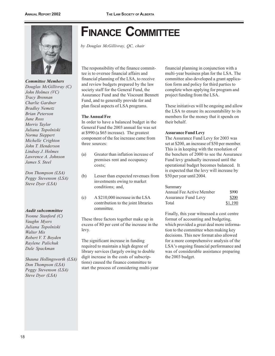

*Committee Members Douglas McGillivray (C) John Holmes (VC) Tracy Brennan Charlie Gardner Bradley Nemetz Brian Peterson June Ross Morris Taylor Juliana Topolniski Norma Sieppert Michelle Crighton John T. Henderson Lindsay J. Holmes Lawrence A. Johnson James S. Steel*

*Don Thompson (LSA) Peggy Stevenson (LSA) Steve Dyer (LSA)*

### *Audit subcommittee*

*Yvonne Stanford (C) Vaughn Myers Juliana Topolniski Walter Mis Robert V. T. Boyden Raylene Palichuk Dale Spackman*

*Shauna Hollingsworth (LSA) Don Thompson (LSA) Peggy Stevenson (LSA) Steve Dyer (LSA)*

### **FINANCE COMMITTEE**

*by Douglas McGillivray, QC, chair*

The responsibility of the finance committee is to oversee financial affairs and financial planning of the LSA, to receive and review budgets prepared by the law society staff for the General Fund, the Assurance Fund and the Viscount Bennett Fund, and to generally provide for and plan fiscal aspects of LSA programs.

### **The Annual Fee**

In order to have a balanced budget in the General Fund the 2003 annual fee was set at \$990 (a \$65 increase). The greatest component of the fee increase came from three sources:

- (a) Greater than inflation increase of premises rent and occupancy costs;
- (b) Lesser than expected revenues from investments owing to market conditions; and,
- (c) A \$210,000 increase in the LSA contribution to the joint libraries committee.

These three factors together make up in excess of 80 per cent of the increase in the levy.

The significant increase in funding required to maintain a high degree of library services (largely owing to double digit increase in the costs of subscriptions) caused the finance committee to start the process of considering multi-year financial planning in conjunction with a multi-year business plan for the LSA. The committee also developed a grant application form and policy for third parties to complete when applying for program and project funding from the LSA.

These initiatives will be ongoing and allow the LSA to ensure its accountability to its members for the money that it spends on their behalf.

### **Assurance Fund Levy**

The Assurance Fund Levy for 2003 was set at \$200, an increase of \$50 per member. This is in keeping with the resolution of the benchers of 2000 to see the Assurance Fund levy gradually increased until the operational budget becomes balanced. It is expected that the levy will increase by \$50 per year until 2004.

### Summary

| Annual Fee Active Member | \$990   |
|--------------------------|---------|
| Assurance Fund Levy      | \$200   |
| Total                    | \$1,190 |

Finally, this year witnessed a cost centre format of accounting and budgeting, which provided a great deal more information to the committee when making key decisions. This new format also allowed for a more comprehensive analysis of the LSA's ongoing financial performance and was of considerable assistance preparing the 2003 budget.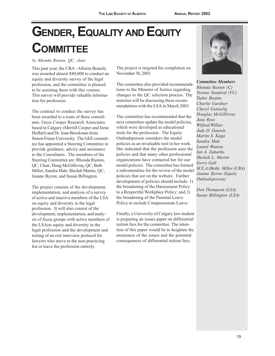# **GENDER, EQUALITY AND EQUITY COMMITTEE**

*by Rhonda Ruston, QC, chair*

This past year, the CBA - Alberta Branch, was awarded almost \$80,000 to conduct an equity and diversity survey of the legal profession, and the committee is pleased to be assisting them with this venture. This survey will provide valuable information for profession.

The contract to conduct the survey has been awarded to a team of three consultants. Guyn Cooper Research Associates based in Calgary (Merrill Cooper and Irene Hoffart) and Dr. Joan Brockman from Simon Fraser University. The GEE committee has appointed a Steering Committee to provide guidance, advice and assistance to the Consultants. The members of the Steering Committee are: Rhonda Ruston, QC, Chair; Doug McGillivray, QC; Beth Miller; Sandra Mah; Sheilah Martin, QC; Jeanne Byron; and Susan Billington.

The project consists of the development, implementation, and analysis of a survey of active and inactive members of the LSA on equity and diversity in the legal profession. It will also consist of the development, implementation, and analysis of focus groups with active members of the LSAon equity and diversity in the legal profession and the development and testing of an exit interview protocol for lawyers who move to the non-practicing list or leave the profession entirely.

The project is targeted for completion on November 30, 2003.

The committee also provided recommendations to the Minister of Justice regarding changes to the QC selection process. The minister will be discussing these recommendations with the LSA in March 2003.

The committee has recommended that the next committee update the model policies, which were developed as educational tools for the profession. The Equity Ombudsperson considers the model policies as an invaluable tool in her work. She indicated that the profession uses the policies and that many other professional organizations have contacted her for our model policies. The committee has formed a subcommittee for the review of the model policies that are on the website. Further development of policies should include: 1) the broadening of the Harassment Policy to a Respectful Workplace Policy; and 2) the broadening of the Parental Leave Policy to include Compassionate Leave.

Finally**,** a University of Calgary law student is preparing an issues paper on differential tuition fees for the committee. The intention of this paper would be to heighten the awareness of the issues and the potential consequences of differential tuition fees.



*Committee Members Rhonda Ruston (C) Yvonne Stanford (VC) Tudor Beattie Charlie Gardner Cheryl Gottselig Douglas McGillivray June Ross Wilfred Willier Judy D. Daniels Martin S. Kaga Sandra Mah Laurel Watson Ian A. Zaharko Sheilah L. Martin Gerry Gall M.E.A.(Beth). Miller (CBA) Jeanne Byron (Equity Ombudsperson)*

*Don Thompson (LSA) Susan Billington (LSA)*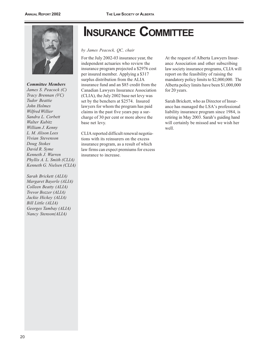

### *Committee Members*

*James S. Peacock (C) Tracy Brennan (VC) Tudor Beattie John Holmes Wilfred Willier Sandra L. Corbett Walter Kubitz William J. Kenny L. M. Alison Lees Vivian Stevenson Doug Stokes David R. Syme Kenneth J. Warren Phyllis A. L. Smith (CLIA) Kenneth G. Nielsen (CLIA)*

*Sarah Brickett (ALIA) Margaret Bayerle (ALIA) Colleen Beatty (ALIA) Trevor Bozzer (ALIA) Jackie Hickey (ALIA) Bill Little (ALIA) Georges Tambay (ALIA) Nancy Stenson(ALIA)*

### **INSURANCE COMMITTEE**

### *by James Peacock, QC, chair*

For the July 2002-03 insurance year, the independent actuaries who review the insurance program projected a \$2976 cost per insured member. Applying a \$317 surplus distribution from the ALIA insurance fund and an \$85 credit from the Canadian Lawyers Insurance Association (CLIA), the July 2002 base net levy was set by the benchers at \$2574. Insured lawyers for whom the program has paid claims in the past five years pay a surcharge of 30 per cent or more above the base net levy.

CLIA reported difficult renewal negotiations with its reinsurers on the excess insurance program, as a result of which law firms can expect premiums for excess insurance to increase.

At the request of Alberta Lawyers Insurance Association and other subscribing law society insurance programs, CLIA will report on the feasibility of raising the mandatory policy limits to \$2,000,000. The Alberta policy limits have been \$1,000,000 for 20 years.

Sarah Brickett, who as Director of Insurance has managed the LSA's professional liability insurance program since 1984, is retiring in May 2003. Sarah's guiding hand will certainly be missed and we wish her well.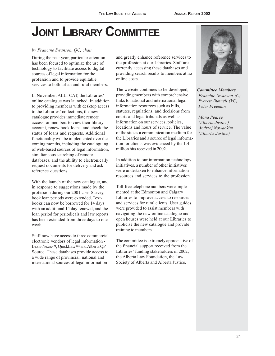### **JOINT LIBRARY COMMITTEE**

### *by Francine Swanson, QC, chair*

During the past year, particular attention has been focused to optimize the use of technology to facilitate access to digital sources of legal information for the profession and to provide equitable services to both urban and rural members.

In November, ALLi-CAT, the Libraries' online catalogue was launched. In addition to providing members with desktop access to the Libraries' collections, the new catalogue provides immediate remote access for members to view their library account, renew book loans, and check the status of loans and requests. Additional functionality will be implemented over the coming months, including the cataloguing of web-based sources of legal information, simultaneous searching of remote databases, and the ability to electronically request documents for delivery and ask reference questions.

With the launch of the new catalogue, and in response to suggestions made by the profession during our 2001 User Survey, book loan periods were extended. Textbooks can now be borrowed for 14 days with an additional 14 day renewal, and the loan period for periodicals and law reports has been extended from three days to one week.

Staff now have access to three commercial electronic vendors of legal information - Lexis-Nexis™, QuickLaw™ and Alberta QP Source. These databases provide access to a wide range of provincial, national and international sources of legal information

and greatly enhance reference services to the profession at our Libraries. Staff are currently accessing these databases and providing search results to members at no online costs.

The website continues to be developed, providing members with comprehensive links to national and international legal information resources such as bills, statutes, regulations, and decisions from courts and legal tribunals as well as information on our services, policies, locations and hours of service. The value of the site as a communication medium for the Libraries and a source of legal information for clients was evidenced by the 1.4 million hits received in 2002.

In addition to our information technology initiatives, a number of other initiatives were undertaken to enhance information resources and services to the profession.

Toll-free telephone numbers were implemented at the Edmonton and Calgary Libraries to improve access to resources and services for rural clients. User guides were provided to assist members with navigating the new online catalogue and open houses were held at our Libraries to publicise the new catalogue and provide training to members.

The committee is extremely appreciative of the financial support received from the Libraries' funding stakeholders in 2002; the Alberta Law Foundation, the Law Society of Alberta and Alberta Justice.



*Committee Members Francine Swanson (C) Everett Bunnell (VC) Peter Freeman*

*Mona Pearce (Alberta Justice) Andrzej Nowackim (Alberta Justice)*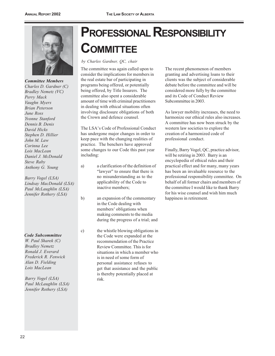

### *Committee Members Charles D. Gardner (C) Bradley Nemetz (VC) Perry Mack Vaughn Myers Brian Peterson June Ross Yvonne Stanford Dennis B. Denis David Hicks Stephen D. Hillier John M. Law Corinna Lee Lois MacLean Daniel J. McDonald Steve Raby Anthony G. Young*

*Barry Vogel (LSA) Lindsay MacDonald (LSA) Paul McLaughlin (LSA) Jennifer Rothery (LSA)*

*Code Subcommittee W. Paul Sharek (C) Bradley Nemetz Ronald J. Everard Frederick R. Fenwick Alan D. Fielding Lois MacLean*

*Barry Vogel (LSA) Paul McLaughlin (LSA) Jennifer Rothery (LSA)*

# **PROFESSIONAL RESPONSIBILITY COMMITTEE**

*by Charles Gardner, QC, chair*

The committee was again called upon to consider the implications for members in the real estate bar of participating in programs being offered, or potentially being offered, by Title Insurers. The committee also spent a considerable amount of time with criminal practitioners in dealing with ethical situations often involving disclosure obligations of both the Crown and defence counsel.

The LSA's Code of Professional Conduct has undergone major changes in order to keep pace with the changing realities of practice. The benchers have approved some changes to our Code this past year including:

- a) a clarification of the definition of "lawyer" to ensure that there is no misunderstanding as to the applicability of the Code to inactive members;
- b) an expansion of the commentary in the Code dealing with members' obligations when making comments to the media during the progress of a trial; and

c) the whistle blowing obligations in the Code were expanded at the recommendation of the Practice Review Committee. This is for situations in which a member who is in need of some form of personal assistance refuses to get that assistance and the public is thereby potentially placed at risk.

The recent phenomenon of members granting and advertising loans to their clients was the subject of considerable debate before the committee and will be considered more fully by the committee and its Code of Conduct Review Subcommittee in 2003.

As lawyer mobility increases, the need to harmonize our ethical rules also increases. A committee has now been struck by the western law societies to explore the creation of a harmonized code of professional conduct.

Finally, Barry Vogel, QC, practice advisor, will be retiring in 2003. Barry is an encyclopedia of ethical rules and their practical effect and for many, many years has been an invaluable resource to the professional responsibility committee. On behalf of all former chairs and members of the committee I would like to thank Barry for his wise counsel and wish him much happiness in retirement.

22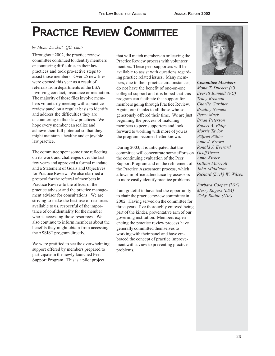### **PRACTICE REVIEW COMMITTEE**

### *by Mona Duckett, QC, chair*

Throughout 2002, the practice review committee continued to identify members encountering difficulties in their law practices and took pro-active steps to assist those members. Over 25 new files were opened this year as a result of referrals from departments of the LSA involving conduct, insurance or mediation. The majority of those files involve members voluntarily meeting with a practice review panel on a regular basis to identify and address the difficulties they are encountering in their law practices. We hope every member can realize and achieve their full potential so that they might maintain a healthy and enjoyable law practice.

The committee spent some time reflecting on its work and challenges over the last few years and approved a formal mandate and a Statement of Goals and Objectives for Practice Review. We also clarified a protocol for the referral of members in Practice Review to the offices of the practice advisor and the practice management advisor for consultations. We are striving to make the best use of resources available to us, respectful of the importance of confidentiality for the member who is accessing those resources. We also continue to inform members about the benefits they might obtain from accessing the ASSIST program directly.

We were gratified to see the overwhelming support offered by members prepared to participate in the newly launched Peer Support Program. This is a pilot project

that will match members in or leaving the Practice Review process with volunteer mentors. These peer supporters will be available to assist with questions regarding practice related issues. Many members, due to their practice circumstances, do not have the benefit of one-on-one collegial support and it is hoped that this program can facilitate that support for members going through Practice Review. Again, our thanks to all those who so generously offered their time. We are just beginning the process of matching members to peer supporters and look forward to working with more of you as the program becomes better known.

During 2003, it is anticipated that the committee will concentrate some efforts on the continuing evaluation of the Peer Support Program and on the refinement of the Practice Assessment process, which allows in office attendance by assessors to more easily identify practice problems.

I am grateful to have had the opportunity to chair the practice review committee in 2002. Having served on the committee for three years, I've thoroughly enjoyed being part of the kinder, preventative arm of our governing institution. Members experiencing the practice review process have generally committed themselves to working with their panel and have embraced the concept of practice improvement with a view to preventing practice problems.



*Committee Members Mona T. Duckett (C) Everett Bunnell (VC) Tracy Brennan Charlie Gardner Bradley Nemetz Perry Mack Brian Peterson Robert A. Philp Morris Taylor Wilfred Willier Anne J. Brown Ronald J. Everard Geoff Green Anne Kirker Gillian Marriott John Middleton Richard (Dick) W. Wilson*

*Barbara Cooper (LSA) Merry Rogers (LSA) Vicky Blaine (LSA)*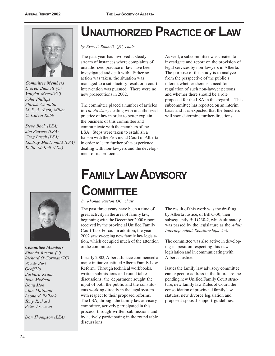

*Committee Members Everett Bunnell (C) Vaughn Myers(VC) John Phillips Shirish Chotalia M. E. A. (Beth) Miller C. Calvin Robb*

*Steve Bach (LSA) Jim Stevens (LSA) Greg Busch (LSA) Lindsay MacDonald (LSA) Kellie McKeil (LSA)*



*Committee Members Rhonda Ruston (C) Richard O'Gorman(VC) Wendy Best Geoff Ho Barbara Krahn Jean McBean Doug Moe Alan Maitland Leonard Pollock Tony Richard Peter Freeman*

*Don Thompson (LSA)*

### **UNAUTHORIZED PRACTICE OF LAW**

*by Everett Bunnell, QC, chair*

The past year has involved a steady stream of instances where complaints of unauthorized practice of law have been investigated and dealt with. Either no action was taken, the situation was managed to a satisfactory result or a court intervention was pursued. There were no new prosecutions in 2002.

The committee placed a number of articles in *The Advisory* dealing with unauthorized practice of law in order to better explain the business of this committee and communicate with the members of the LSA. Steps were taken to establish a liaison with the Provincial Court of Alberta in order to learn further of its experience dealing with non-lawyers and the development of its protocols.

As well, a subcommittee was created to investigate and report on the provision of legal services by non-lawyers in Alberta. The purpose of this study is to analyze from the perspective of the public's interest whether there is a need for regulation of such non-lawyer persons and whether there should be a role proposed for the LSA in this regard. This subcommittee has reported on an interim basis and it is expected that the benchers will soon determine further directions.

## **FAMILY LAW ADVISORY COMMITTEE**

*by Rhonda Ruston QC, chair*

The past three years have been a time of great activity in the area of family law, beginning with the December 2000 report received by the provincial Unified Family Court Task Force. In addition, the year 2002 saw sweeping new family law legislation, which occupied much of the attention of the committee.

In early 2002, Alberta Justice commenced a major initiative entitled Alberta Family Law Reform. Through technical workbooks, written submissions and round table discussions, the department sought the input of both the public and the constituents working directly in the legal system with respect to their proposed reforms. The LSA, through the family law advisory committee, actively participated in this process, through written submissions and by actively participating in the round table discussions.

The result of this work was the drafting, by Alberta Justice, of Bill C-30, then subsequently Bill C 30-2, which ultimately was passed by the legislature as the *Adult Interdependent Relationships Act*.

The committee was also active in developing its position respecting this new legislation and in communicating with Alberta Justice.

Issues the family law advisory committee can expect to address in the future are the pending new Unified Family Court structure, new family law Rules of Court, the consolidation of provincial family law statutes, new divorce legislation and proposed spousal support guidelines.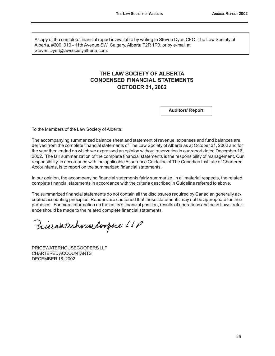A copy of the complete financial report is available by writing to Steven Dyer, CFO, The Law Society of Alberta, #600, 919 - 11th Avenue SW, Calgary, Alberta T2R 1P3, or by e-mail at Steven.Dyer@lawsocietyalberta.com.

### **THE LAW SOCIETY OF ALBERTA CONDENSED FINANCIAL STATEMENTS OCTOBER 31, 2002**

**Auditors' Report**

To the Members of the Law Society of Alberta:

The accompanying summarized balance sheet and statement of revenue, expenses and fund balances are derived from the complete financial statements of The Law Society of Alberta as at October 31, 2002 and for the year then ended on which we expressed an opinion without reservation in our report dated December 16, 2002. The fair summarization of the complete financial statements is the responsibility of management. Our responsibility, in accordance with the applicable Assurance Guideline of The Canadian Institute of Chartered Accountants, is to report on the summarized financial statements.

In our opinion, the accompanying financial statements fairly summarize, in all material respects, the related complete financial statements in accordance with the criteria described in Guideline referred to above.

The summarized financial statements do not contain all the disclosures required by Canadian generally accepted accounting principles. Readers are cautioned that these statements may not be appropriate for their purposes. For more information on the entity's financial position, results of operations and cash flows, reference should be made to the related complete financial statements.

Pricewaterhouse Coopers LLP

PRICEWATERHOUSECOOPERS LLP CHARTERED ACCOUNTANTS DECEMBER 16, 2002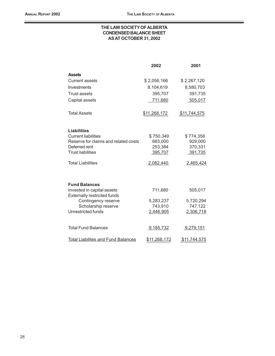### **THE LAW SOCIETY OF ALBERTA CONDENSED BALANCE SHEET AS AT OCTOBER 31, 2002**

|                                                                  | 2002         | 2001                |
|------------------------------------------------------------------|--------------|---------------------|
| <b>Assets</b>                                                    |              |                     |
| <b>Current assets</b>                                            | \$2,056,166  | \$2,267,120         |
| Investments                                                      | 8,104,619    | 8,580,703           |
| <b>Trust assets</b>                                              | 395,707      | 391,735             |
| Capital assets                                                   | 711,680      | 505,017             |
| <b>Total Assets</b>                                              | \$11,268,172 | <u>\$11,744,575</u> |
| <b>Liabilities</b>                                               |              |                     |
| <b>Current liabilities</b>                                       | \$750,349    | \$774,358           |
| Reserve for claims and related costs                             | 683,000      | 929,000             |
| Deferred rent                                                    | 253,384      | 370,331             |
| <b>Trust liabilities</b>                                         | 395,707      | 391,735             |
| <b>Total Liabilities</b>                                         | 2,082,440    | 2,465,424           |
| <b>Fund Balances</b>                                             |              |                     |
| Invested in capital assets<br><b>Externally restricted funds</b> | 711,680      | 505,017             |
| Contingency reserve                                              | 5,283,237    | 5,720,294           |
| Scholarship reserve                                              | 743,910      | 747,122             |
| Unrestricted funds                                               | 2,446,905    | 2,306,718           |
| <b>Total Fund Balances</b>                                       | 9,185,732    | 9,279,151           |
| <b>Total Liabilites and Fund Balances</b>                        | \$11,268,172 | \$11,744,575        |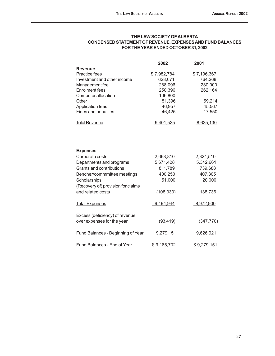### **THE LAW SOCIETY OF ALBERTA CONDENSED STATEMENT OF REVENUE, EXPENSES AND FUND BALANCES FOR THE YEAR ENDED OCTOBER 31, 2002**

|                                    | 2002        | 2001        |
|------------------------------------|-------------|-------------|
| <b>Revenue</b>                     |             |             |
| Practice fees                      | \$7,982,784 | \$7,196,367 |
| Investment and other income        | 628,671     | 764,268     |
| Management fee                     | 288,096     | 280,000     |
| <b>Enrolment fees</b>              | 250,396     | 262,164     |
| Computer allocation                | 106,800     |             |
| Other                              | 51,396      | 59,214      |
| Application fees                   | 46,957      | 45,567      |
| Fines and penalties                | 46,425      | 17,550      |
| <b>Total Revenue</b>               | 9,401,525   | 8,625,130   |
|                                    |             |             |
| <b>Expenses</b>                    |             |             |
| Corporate costs                    | 2,668,810   | 2,324,510   |
| Departments and programs           | 5,671,428   | 5,342,661   |
| Grants and contributions           | 811,789     | 739,688     |
| Bencher/commmittee meetings        | 400,250     | 407,305     |
| Scholarships                       | 51,000      | 20,000      |
| (Recovery of) provision for claims |             |             |
| and related costs                  | (108, 333)  | 138,736     |
| <b>Total Expenses</b>              | 9,494,944   | 8,972,900   |
| Excess (deficiency) of revenue     |             |             |
| over expenses for the year         | (93, 419)   | (347, 770)  |
| Fund Balances - Beginning of Year  | 9,279,151   | 9,626,921   |
| Fund Balances - End of Year        | \$9,185,732 | \$9,279,151 |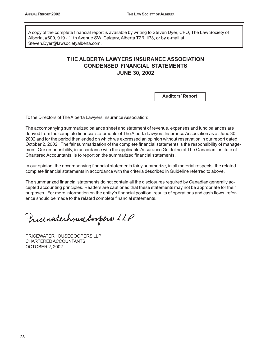A copy of the complete financial report is available by writing to Steven Dyer, CFO, The Law Society of Alberta, #600, 919 - 11th Avenue SW, Calgary, Alberta T2R 1P3, or by e-mail at Steven.Dyer@lawsocietyalberta.com.

### **THE ALBERTA LAWYERS INSURANCE ASSOCIATION CONDENSED FINANCIAL STATEMENTS JUNE 30, 2002**

**Auditors' Report**

To the Directors of The Alberta Lawyers Insurance Association:

The accompanying summarized balance sheet and statement of revenue, expenses and fund balances are derived from the complete financial statements of The Alberta Lawyers Insurance Association as at June 30, 2002 and for the period then ended on which we expressed an opinion without reservation in our report dated October 2, 2002. The fair summarization of the complete financial statements is the responsibility of management. Our responsibility, in accordance with the applicable Assurance Guideline of The Canadian Institute of Chartered Accountants, is to report on the summarized financial statements.

In our opinion, the accompanying financial statements fairly summarize, in all material respects, the related complete financial statements in accordance with the criteria described in Guideline referred to above.

The summarized financial statements do not contain all the disclosures required by Canadian generally accepted accounting principles. Readers are cautioned that these statements may not be appropriate for their purposes. For more information on the entity's financial position, results of operations and cash flows, reference should be made to the related complete financial statements.

Pricewaterhouse Coopers LLP

PRICEWATERHOUSECOOPERS LLP CHARTERED ACCOUNTANTS OCTOBER 2, 2002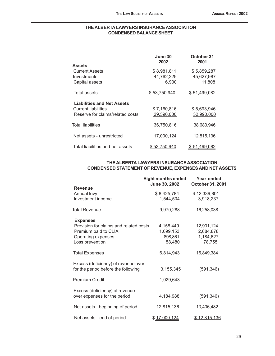### **THE ALBERTA LAWYERS INSURANCE ASSOCIATION CONDENSED BALANCE SHEET**

|                                   | June 30<br>2002 | October 31<br>2001 |
|-----------------------------------|-----------------|--------------------|
| <b>Assets</b>                     |                 |                    |
| <b>Current Assets</b>             | \$8,981,811     | \$5,859,287        |
| Investments                       | 44,762,229      | 45,627,987         |
| Capital assets                    | 6,900           | 11,808             |
| Total assets                      | \$53,750,940    | \$51,499,082       |
| <b>Liabilities and Net Assets</b> |                 |                    |
| Current liabilities               | \$7,160,816     | \$5,693,946        |
| Reserve for claims/related costs  | 29.590.000      | 32,990,000         |
| <b>Total liabilities</b>          | 36,750,816      | 38,683,946         |
| Net assets - unrestricted         | 17,000,124      | 12,815,136         |
| Total liabilities and net assets  | \$53.750.940    | \$51.499.082       |

### **THE ALBERTA LAWYERS INSURANCE ASSOCIATION CONDENSED STATEMENT OF REVENUE, EXPENSES AND NET ASSETS**

|                                        | <b>Eight months ended</b><br>June 30, 2002 | Year ended<br>October 31, 2001 |
|----------------------------------------|--------------------------------------------|--------------------------------|
| <b>Revenue</b>                         |                                            |                                |
| Annual levy                            | \$8,425,784                                | \$12,339,801                   |
| Investment income                      | 1,544,504                                  | 3,918,237                      |
| <b>Total Revenue</b>                   | 9,970,288                                  | 16,258,038                     |
| <b>Expenses</b>                        |                                            |                                |
| Provision for claims and related costs | 4,158,449                                  | 12,901,124                     |
| Premium paid to CLIA                   | 1,699,153                                  | 2,684,878                      |
| Operating expenses                     | 898,861                                    | 1,184,627                      |
| Loss prevention                        | 58,480                                     | 78,755                         |
| <b>Total Expenses</b>                  | 6,814,943                                  | 16,849,384                     |
| Excess (deficiency) of revenue over    |                                            |                                |
| for the period before the following    | 3,155,345                                  | (591, 346)                     |
|                                        |                                            |                                |
| <b>Premium Credit</b>                  | 1,029,643                                  | -                              |
| Excess (deficiency) of revenue         |                                            |                                |
| over expenses for the period           | 4,184,988                                  | (591, 346)                     |
| Net assets - beginning of period       | 12,815,136                                 | 13,406,482                     |
|                                        |                                            |                                |
| Net assets - end of period             | \$17,000,124                               | <u>\$12,815,136</u>            |
|                                        |                                            |                                |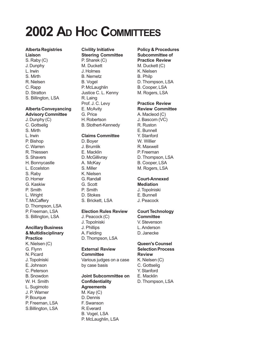# **2002 AD HOC COMMITTEES**

### **Alberta Registries**

**Liaison** S. Raby (C) J. Dunphy L. Irwin S. Mirth R. Nielsen C. Rapp D. Stratton S. Billington, LSA

#### **Alberta Conveyancing Advisory Committee**

J. Dunphy (C) C. Gottselig S. Mirth L. Irwin P. Bishop C. Warren R. Thiessen S. Shavers H. Bonnycastle L. Eccelston S. Raby D. Homer G. Kaskiw P. Smith L. Wright T. McCaffery D. Thompson, LSA P. Freeman, LSA S. Billington, LSA

### **Ancillary Business & Multidisciplinary Practice** K. Nielsen (C) G. Flynn N. Picard J. Topolniski

E. Johnson C. Peterson B. Snowdon W. H. Smith L. Sugimoto J. P. Warner P.Bourque P. Freeman, LSA S.Billington, LSA

**Civility Initiative Steering Committee** P. Sharek (C) M. Duckett J. Holmes B. Nemetz B. Vogel P. McLaughlin Justice C. L. Kenny R. Laing Prof. J. C. Levy E. McAvity G. Price H. Robertson B. Stothert-Kennedy

### **Claims Committee**

D. Boyer J. Brumlik E. Macklin D. McGillivray A. McKay S. Miller K. Nielsen G. Randall G. Scott P. Smith D. Stokes S. Brickett, LSA

### **Election Rules Review**

J. Peacock (C) J. Topolniski J. Phillips A. Fielding D. Thompson, LSA

### **External Review**

**Committee** Various judges on a case by case basis

### **Joint Subcommittee on Confidentiality**

**Agreements** M. Kay (C) D. Dennis F. Swanson R. Everard B. Vogel, LSA P. McLaughlin, LSA **Policy & Procedures Subcommittee of Practice Review** M. Duckett (C) K. Nielsen B. Philp D. Thompson, LSA B. Cooper, LSA M. Rogers, LSA

#### **Practice Review Review Committee**

A. Macleod (C) J. Bascom (VC) R. Ruston E. Bunnell Y.Stanford W. Willier R. Maxwell P. Freeman D. Thompson, LSA B. Cooper, LSA M. Rogers, LSA

### **Court-Annexed**

**Mediation** J. Topolniski E. Bunnell J. Peacock

### **Court Technology**

**Committee** V.Stevenson L. Anderson D. Janecke

### **Queen's Counsel Selection Process Review** K. Nielsen (C) C. Gottselig

Y.Stanford E. Macklin D. Thompson, LSA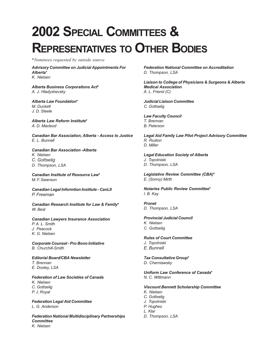# **2002 SPECIAL COMMITTEES & REPRESENTATIVES TO OTHER BODIES**

*\*Nominees requested by outside source*

*Advisory Committee on Judicial Appointments For Alberta\* K. Nielsen*

*Alberta Business Corporations Act\* A. J. Hladyshevsky*

*Alberta Law Foundation\* M. Duckett J. D. Steele*

*Alberta Law Reform Institute\* A. D. Macleod*

*Canadian Bar Association, Alberta - Access to Justice E. L. Bunnell*

### *Canadian Bar Association -Alberta*

*K. Nielsen C. Gottselig*

*D. Thompson, LSA*

*Canadian Institute of Resource Law\* M. F. Swanson*

*Canadian Legal Informtion Institute - CanLII P. Freeman*

*Canadian Research Institute for Law & Family\* W. Best*

#### *Canadian Lawyers Insurance Association*

*P. A. L. Smith J. Peacock K. G. Nielsen*

*Corporate Counsel - Pro Bono Initiative B. Churchill-Smith*

*Editorial Board/CBA Newsletter*

*T. Brennan E. Dooley, LSA*

*Federation of Law Societies of Canada*

*K. Nielsen*

*C. Gottselig*

*P. J. Royal*

*Federation Legal Aid Committee L. G. Anderson*

*Federation National Multidisciplinary Partnerships Committee K. Nielsen*

*Federation National Committee on Accreditation D. Thompson, LSA*

*Liaison to College of Physicians & Surgeons & Alberta Medical Association A. L. Friend (C)*

*Judicial Liaison Committee*

*C. Gottselig*

#### *Law Faculty Council*

*T. Brennan B. Peterson*

*Legal Aid Family Law Pilot Project Advisory Committee R. Ruston D. Miller*

*Legal Education Society of Alberta J. Topolniski*

*D. Thompson, LSA*

*Legislative Review Committee (CBA)\* E. (Sonny) Mirth*

*Notaries Public Review Committee\* I. B. Kay*

#### *Pronet*

*D. Thompson, LSA*

### *Provincial Judicial Council*

- *K. Nielsen*
- *C. Gottselig*

### *Rules of Court Committee*

- *J. Topolniski*
- *E. Bunnell*

### *Tax Consultative Group\**

*D. Cherniawsky*

*Uniform Law Conference of Canada\* N. C. Wittmann*

#### *Viscount Bennett Scholarship Committee*

- *K. Nielsen*
- *C. Gottselig*
- *J. Topolniski*
- *P. Hughes*
- *L. Klar*
- *D. Thompson, LSA*